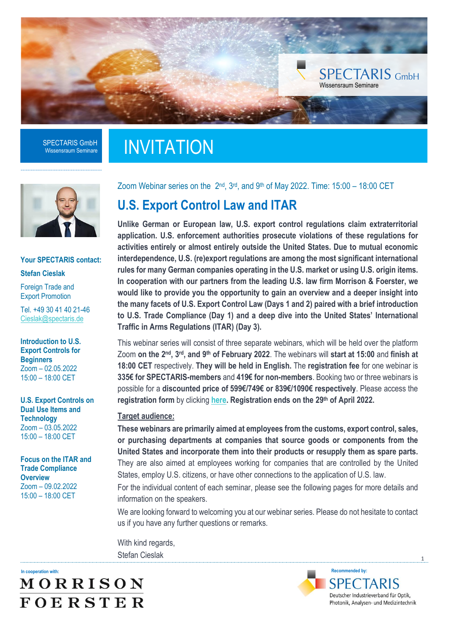

### **INVITATION**



#### **Your SPECTARIS contact: Stefan Cieslak**

Foreign Trade and Export Promotion

Tel. +49 30 41 40 21-46 [Cieslak@spectaris.de](mailto:Cieslak@spectaris.de)

**Introduction to U.S. Export Controls for Beginners** Zoom – 02.05.2022 15:00 – 18:00 CET

**U.S. Export Controls on Dual Use Items and Technology** Zoom – 03.05.2022 15:00 – 18:00 CET

**Focus on the ITAR and Trade Compliance Overview** Zoom – 09.02.2022 15:00 – 18:00 CET

Zoom Webinar series on the  $2^{nd}$ ,  $3^{rd}$ , and  $9^{th}$  of May 2022. Time: 15:00 – 18:00 CET

### **U.S. Export Control Law and ITAR**

**Unlike German or European law, U.S. export control regulations claim extraterritorial application. U.S. enforcement authorities prosecute violations of these regulations for activities entirely or almost entirely outside the United States. Due to mutual economic interdependence, U.S. (re)export regulations are among the most significant international rules for many German companies operating in the U.S. market or using U.S. origin items. In cooperation with our partners from the leading U.S. law firm Morrison & Foerster, we would like to provide you the opportunity to gain an overview and a deeper insight into the many facets of U.S. Export Control Law (Days 1 and 2) paired with a brief introduction to U.S. Trade Compliance (Day 1) and a deep dive into the United States' International Traffic in Arms Regulations (ITAR) (Day 3).**

This webinar series will consist of three separate webinars, which will be held over the platform Zoom on the 2<sup>nd</sup>, 3<sup>rd</sup>, and 9<sup>th</sup> of February 2022. The webinars will start at 15:00 and finish at **18:00 CET** respectively. **They will be held in English.** The **registration fee** for one webinar is **335€ for SPECTARIS-members** and **419€ for non-members**. Booking two or three webinars is possible for a **discounted price of 599€/749€ or 839€/1090€ respectively**. Please access the **registration form** by clicking **[here.](https://eveeno.com/303316251) Registration ends on the 29th of April 2022.**

#### **Target audience:**

**These webinars are primarily aimed at employees from the customs, export control, sales, or purchasing departments at companies that source goods or components from the United States and incorporate them into their products or resupply them as spare parts.** They are also aimed at employees working for companies that are controlled by the United States, employ U.S. citizens, or have other connections to the application of U.S. law.

For the individual content of each seminar, please see the following pages for more details and information on the speakers.

We are looking forward to welcoming you at our webinar series. Please do not hesitate to contact us if you have any further questions or remarks.

With kind regards, Stefan Cieslak

**In cooperation with:**

MORRISON **FOERSTER** 

**Recommended by: SPECTARIS** Deutscher Industrieverband für Optik, Photonik, Analysen- und Medizintechnik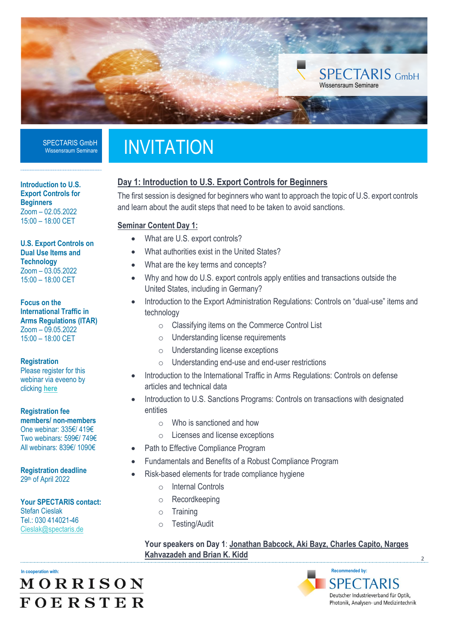

## **INVITATION**

#### **Day 1: Introduction to U.S. Export Controls for Beginners**

The first session is designed for beginners who want to approach the topic of U.S. export controls and learn about the audit steps that need to be taken to avoid sanctions.

#### **Seminar Content Day 1:**

- What are U.S. export controls?
- What authorities exist in the United States?
- What are the key terms and concepts?
- Why and how do U.S. export controls apply entities and transactions outside the United States, including in Germany?
- Introduction to the Export Administration Regulations: Controls on "dual-use" items and technology
	- o Classifying items on the Commerce Control List
	- o Understanding license requirements
	- o Understanding license exceptions
	- o Understanding end-use and end-user restrictions
- Introduction to the International Traffic in Arms Regulations: Controls on defense articles and technical data
- Introduction to U.S. Sanctions Programs: Controls on transactions with designated entities
	- o Who is sanctioned and how
	- o Licenses and license exceptions
	- Path to Effective Compliance Program
- Fundamentals and Benefits of a Robust Compliance Program
- Risk-based elements for trade compliance hygiene
	- o Internal Controls
	- o Recordkeeping
	- o Training
	- o Testing/Audit

**Your speakers on Day 1**: **Jonathan Babcock, Aki Bayz, Charles Capito, Narges Kahvazadeh and Brian K. Kidd**

**In cooperation with:** MORRISON **FOERSTER** 

#### **Recommended by: SPECTARIS** Deutscher Industrieverband für Optik,

Photonik, Analysen- und Medizintechnik

2

**Introduction to U.S. Export Controls for Beginners** Zoom – 02.05.2022 15:00 – 18:00 CET

**U.S. Export Controls on Dual Use Items and Technology** Zoom – 03.05.2022 15:00 – 18:00 CET

**Focus on the International Traffic in Arms Regulations (ITAR)** Zoom – 09.05.2022 15:00 – 18:00 CET

**Registration**

Please register for this webinar via eveeno by clicking **[here](https://eveeno.com/303316251)**

**Registration fee members/ non-members** One webinar: 335€/ 419€ Two webinars: 599€/ 749€ All webinars: 839€/ 1090€

**Registration deadline** 29th of April 2022

**Your SPECTARIS contact:**  Stefan Cieslak Tel.: 030 414021-46 [Cieslak@spectaris.de](mailto:Cieslak@spectaris.de)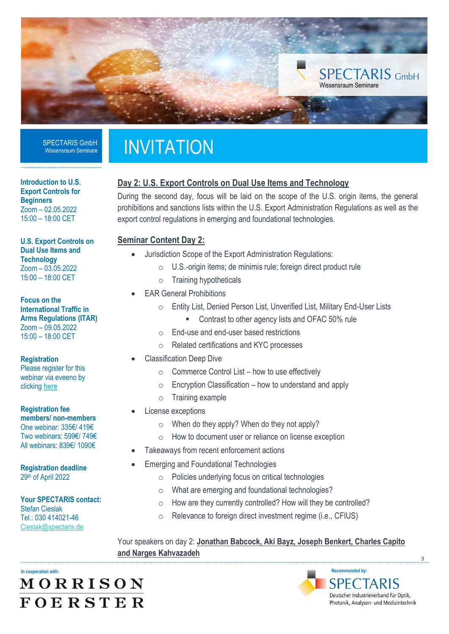

# **INVITATION**

### **Day 2: U.S. Export Controls on Dual Use Items and Technology**

During the second day, focus will be laid on the scope of the U.S. origin items, the general prohibitions and sanctions lists within the U.S. Export Administration Regulations as well as the export control regulations in emerging and foundational technologies.

#### **Seminar Content Day 2:**

- Jurisdiction Scope of the Export Administration Regulations:
	- o U.S.-origin items; de minimis rule; foreign direct product rule
	- o Training hypotheticals
- **EAR General Prohibitions** 
	- o Entity List, Denied Person List, Unverified List, Military End-User Lists
		- Contrast to other agency lists and OFAC 50% rule
	- o End-use and end-user based restrictions
	- o Related certifications and KYC processes
- Classification Deep Dive
	- $\circ$  Commerce Control List how to use effectively
	- $\circ$  Encryption Classification how to understand and apply
	- o Training example
- License exceptions
	- o When do they apply? When do they not apply?
	- o How to document user or reliance on license exception
- Takeaways from recent enforcement actions
- Emerging and Foundational Technologies
	- o Policies underlying focus on critical technologies
	- o What are emerging and foundational technologies?
	- o How are they currently controlled? How will they be controlled?
	- o Relevance to foreign direct investment regime (i.e., CFIUS)

Your speakers on day 2: **Jonathan Babcock, Aki Bayz, Joseph Benkert, Charles Capito and Narges Kahvazadeh**

**In cooperation with:** MORRISON **FOERSTER** 

**SPECTARIS** Deutscher Industrieverband für Optik, Photonik, Analysen- und Medizintechnik

**Recommended by:**

3

**Introduction to U.S. Export Controls for Beginners** Zoom – 02.05.2022 15:00 – 18:00 CET

**U.S. Export Controls on Dual Use Items and Technology** Zoom – 03.05.2022 15:00 – 18:00 CET

**Focus on the International Traffic in Arms Regulations (ITAR)** Zoom – 09.05.2022 15:00 – 18:00 CET

**Registration** Please register for this webinar via eveeno by clicking **[here](https://eveeno.com/303316251)**

**Registration fee members/ non-members** One webinar: 335€/ 419€ Two webinars: 599€/ 749€ All webinars: 839€/ 1090€

**Registration deadline** 29th of April 2022

**Your SPECTARIS contact:**  Stefan Cieslak Tel.: 030 414021-46 [Cieslak@spectaris.de](mailto:Cieslak@spectaris.de)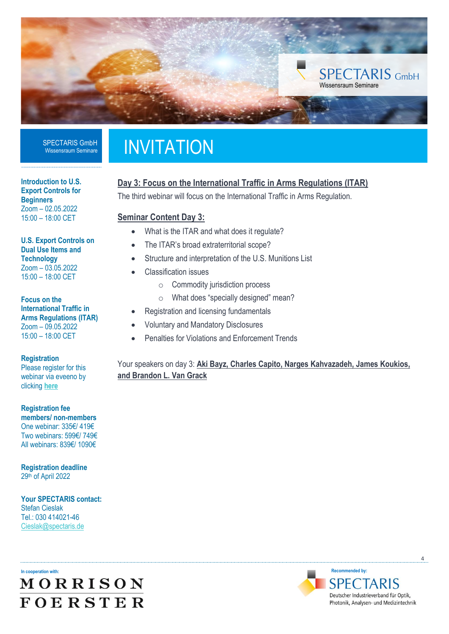

# **INVITATION**

### **Day 3: Focus on the International Traffic in Arms Regulations (ITAR)**

The third webinar will focus on the International Traffic in Arms Regulation.

#### **Seminar Content Day 3:**

- What is the ITAR and what does it regulate?
- The ITAR's broad extraterritorial scope?
- Structure and interpretation of the U.S. Munitions List
- Classification issues
	- o Commodity jurisdiction process
	- o What does "specially designed" mean?
- Registration and licensing fundamentals
- Voluntary and Mandatory Disclosures
- Penalties for Violations and Enforcement Trends

#### Your speakers on day 3: **Aki Bayz, Charles Capito, Narges Kahvazadeh, James Koukios, and Brandon L. Van Grack**

**Introduction to U.S. Export Controls for Beginners** Zoom – 02.05.2022 15:00 – 18:00 CET

**U.S. Export Controls on Dual Use Items and Technology** Zoom – 03.05.2022 15:00 – 18:00 CET

**Focus on the International Traffic in Arms Regulations (ITAR)** Zoom – 09.05.2022 15:00 – 18:00 CET

**Registration**

Please register for this webinar via eveeno by clicking **[here](https://eveeno.com/303316251)**

**Registration fee members/ non-members** One webinar: 335€/ 419€ Two webinars: 599€/ 749€ All webinars: 839€/ 1090€

**Registration deadline** 29th of April 2022

**Your SPECTARIS contact:**  Stefan Cieslak Tel.: 030 414021-46 [Cieslak@spectaris.de](mailto:Cieslak@spectaris.de)

**In cooperation with: MORRISON FOERSTER** 



 $\overline{A}$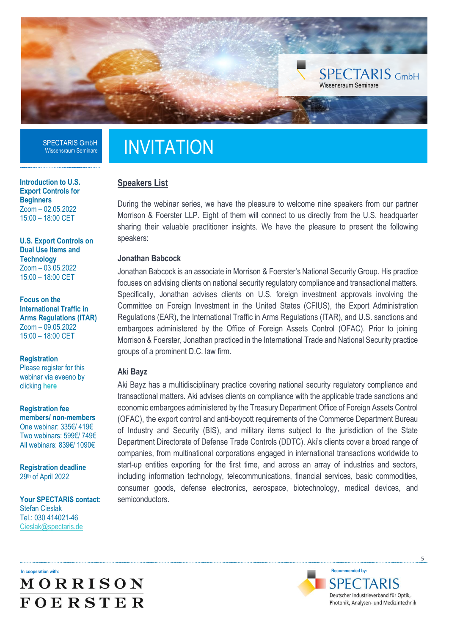

**Introduction to U.S. Export Controls for Beginners** Zoom – 02.05.2022 15:00 – 18:00 CET

**U.S. Export Controls on Dual Use Items and Technology** Zoom – 03.05.2022 15:00 – 18:00 CET

**Focus on the International Traffic in Arms Regulations (ITAR)** Zoom – 09.05.2022 15:00 – 18:00 CET

**Registration** Please register for this webinar via eveeno by clicking **[here](https://eveeno.com/303316251)**

**Registration fee members/ non-members** One webinar: 335€/ 419€ Two webinars: 599€/ 749€ All webinars: 839€/ 1090€

**Registration deadline** 29th of April 2022

**Your SPECTARIS contact:**  Stefan Cieslak Tel.: 030 414021-46 [Cieslak@spectaris.de](mailto:Cieslak@spectaris.de)

## **INVITATION**

#### **Speakers List**

During the webinar series, we have the pleasure to welcome nine speakers from our partner Morrison & Foerster LLP. Eight of them will connect to us directly from the U.S. headquarter sharing their valuable practitioner insights. We have the pleasure to present the following speakers:

#### **Jonathan Babcock**

Jonathan Babcock is an associate in Morrison & Foerster's National Security Group. His practice focuses on advising clients on national security regulatory compliance and transactional matters. Specifically, Jonathan advises clients on U.S. foreign investment approvals involving the Committee on Foreign Investment in the United States (CFIUS), the Export Administration Regulations (EAR), the International Traffic in Arms Regulations (ITAR), and U.S. sanctions and embargoes administered by the Office of Foreign Assets Control (OFAC). Prior to joining Morrison & Foerster, Jonathan practiced in the International Trade and National Security practice groups of a prominent D.C. law firm.

#### **Aki Bayz**

Aki Bayz has a multidisciplinary practice covering national security regulatory compliance and transactional matters. Aki advises clients on compliance with the applicable trade sanctions and economic embargoes administered by the Treasury Department Office of Foreign Assets Control (OFAC), the export control and anti-boycott requirements of the Commerce Department Bureau of Industry and Security (BIS), and military items subject to the jurisdiction of the State Department Directorate of Defense Trade Controls (DDTC). Aki's clients cover a broad range of companies, from multinational corporations engaged in international transactions worldwide to start-up entities exporting for the first time, and across an array of industries and sectors, including information technology, telecommunications, financial services, basic commodities, consumer goods, defense electronics, aerospace, biotechnology, medical devices, and semiconductors.

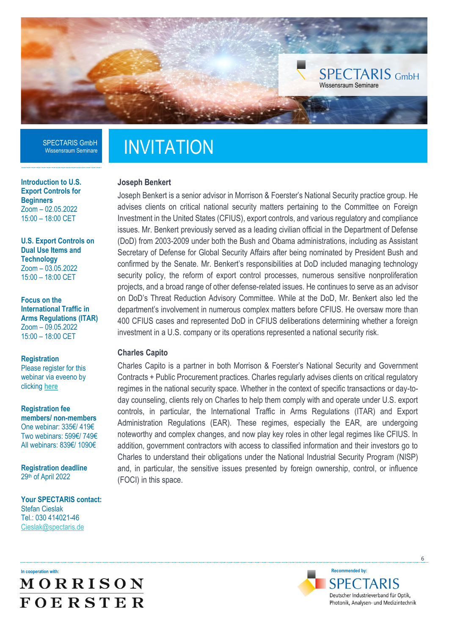

**Introduction to U.S. Export Controls for Beginners** Zoom – 02.05.2022 15:00 – 18:00 CET

**U.S. Export Controls on Dual Use Items and Technology** Zoom – 03.05.2022 15:00 – 18:00 CET

**Focus on the International Traffic in Arms Regulations (ITAR)** Zoom – 09.05.2022 15:00 – 18:00 CET

**Registration** Please register for this

webinar via eveeno by clicking **[here](https://eveeno.com/303316251)**

**Registration fee members/ non-members** One webinar: 335€/ 419€ Two webinars: 599€/ 749€ All webinars: 839€/ 1090€

**Registration deadline** 29th of April 2022

**Your SPECTARIS contact:**  Stefan Cieslak Tel.: 030 414021-46 [Cieslak@spectaris.de](mailto:Cieslak@spectaris.de)

# **INVITATION**

#### **Joseph Benkert**

Joseph Benkert is a senior advisor in Morrison & Foerster's National Security practice group. He advises clients on critical national security matters pertaining to the Committee on Foreign Investment in the United States (CFIUS), export controls, and various regulatory and compliance issues. Mr. Benkert previously served as a leading civilian official in the Department of Defense (DoD) from 2003-2009 under both the Bush and Obama administrations, including as Assistant Secretary of Defense for Global Security Affairs after being nominated by President Bush and confirmed by the Senate. Mr. Benkert's responsibilities at DoD included managing technology security policy, the reform of export control processes, numerous sensitive nonproliferation projects, and a broad range of other defense-related issues. He continues to serve as an advisor on DoD's Threat Reduction Advisory Committee. While at the DoD, Mr. Benkert also led the department's involvement in numerous complex matters before CFIUS. He oversaw more than 400 CFIUS cases and represented DoD in CFIUS deliberations determining whether a foreign investment in a U.S. company or its operations represented a national security risk.

#### **Charles Capito**

Charles Capito is a partner in both Morrison & Foerster's National Security and Government Contracts + Public Procurement practices. Charles regularly advises clients on critical regulatory regimes in the national security space. Whether in the context of specific transactions or day-today counseling, clients rely on Charles to help them comply with and operate under U.S. export controls, in particular, the International Traffic in Arms Regulations (ITAR) and Export Administration Regulations (EAR). These regimes, especially the EAR, are undergoing noteworthy and complex changes, and now play key roles in other legal regimes like CFIUS. In addition, government contractors with access to classified information and their investors go to Charles to understand their obligations under the National Industrial Security Program (NISP) and, in particular, the sensitive issues presented by foreign ownership, control, or influence (FOCI) in this space.



**Recommended by: SPECTARIS** Deutscher Industrieverband für Optik, Photonik, Analysen- und Medizintechnik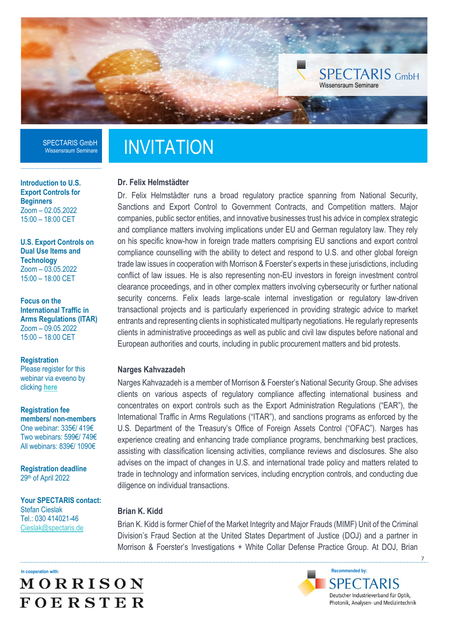

**Introduction to U.S. Export Controls for Beginners** Zoom – 02.05.2022 15:00 – 18:00 CET

**U.S. Export Controls on Dual Use Items and Technology** Zoom – 03.05.2022 15:00 – 18:00 CET

**Focus on the International Traffic in Arms Regulations (ITAR)** Zoom – 09.05.2022 15:00 – 18:00 CET

**Registration** Please register for this webinar via eveeno by clicking **[here](https://eveeno.com/303316251)**

**Registration fee members/ non-members** One webinar: 335€/ 419€ Two webinars: 599€/ 749€ All webinars: 839€/ 1090€

**Registration deadline** 29th of April 2022

**Your SPECTARIS contact:**  Stefan Cieslak Tel.: 030 414021-46 [Cieslak@spectaris.de](mailto:Cieslak@spectaris.de)

# **INVITATION**

#### **Dr. Felix Helmstädter**

Dr. Felix Helmstädter runs a broad regulatory practice spanning from National Security, Sanctions and Export Control to Government Contracts, and Competition matters. Major companies, public sector entities, and innovative businesses trust his advice in complex strategic and compliance matters involving implications under EU and German regulatory law. They rely on his specific know-how in foreign trade matters comprising EU sanctions and export control compliance counselling with the ability to detect and respond to U.S. and other global foreign trade law issues in cooperation with Morrison & Foerster's experts in these jurisdictions, including conflict of law issues. He is also representing non-EU investors in foreign investment control clearance proceedings, and in other complex matters involving cybersecurity or further national security concerns. Felix leads large-scale internal investigation or regulatory law-driven transactional projects and is particularly experienced in providing strategic advice to market entrants and representing clients in sophisticated multiparty negotiations. He regularly represents clients in administrative proceedings as well as public and civil law disputes before national and European authorities and courts, including in public procurement matters and bid protests.

#### **Narges Kahvazadeh**

Narges Kahvazadeh is a member of Morrison & Foerster's National Security Group. She advises clients on various aspects of regulatory compliance affecting international business and concentrates on export controls such as the Export Administration Regulations ("EAR"), the International Traffic in Arms Regulations ("ITAR"), and sanctions programs as enforced by the U.S. Department of the Treasury's Office of Foreign Assets Control ("OFAC"). Narges has experience creating and enhancing trade compliance programs, benchmarking best practices, assisting with classification licensing activities, compliance reviews and disclosures. She also advises on the impact of changes in U.S. and international trade policy and matters related to trade in technology and information services, including encryption controls, and conducting due diligence on individual transactions.

#### **Brian K. Kidd**

Brian K. Kidd is former Chief of the Market Integrity and Major Frauds (MIMF) Unit of the Criminal Division's Fraud Section at the United States Department of Justice (DOJ) and a partner in Morrison & Foerster's Investigations + White Collar Defense Practice Group. At DOJ, Brian

**In cooperation with:** MORRISON **FOERSTER** 

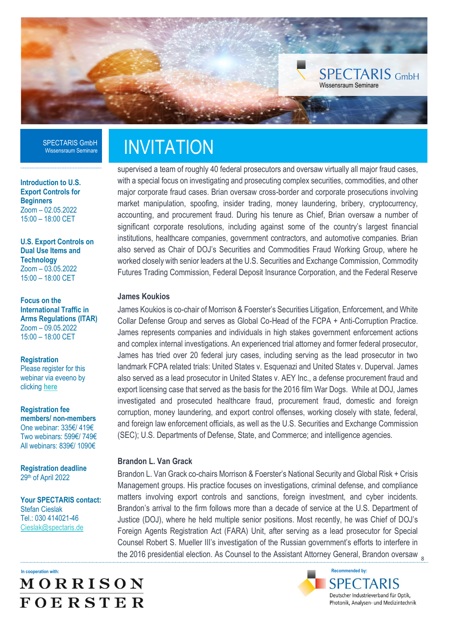

**Introduction to U.S. Export Controls for Beginners** Zoom – 02.05.2022 15:00 – 18:00 CET

**U.S. Export Controls on Dual Use Items and Technology** Zoom – 03.05.2022 15:00 – 18:00 CET

**Focus on the International Traffic in Arms Regulations (ITAR)** Zoom – 09.05.2022 15:00 – 18:00 CET

**Registration** Please register for this webinar via eveeno by clicking **[here](https://eveeno.com/303316251)**

**Registration fee members/ non-members** One webinar: 335€/ 419€ Two webinars: 599€/ 749€ All webinars: 839€/ 1090€

**Registration deadline** 29th of April 2022

**Your SPECTARIS contact:**  Stefan Cieslak Tel.: 030 414021-46 [Cieslak@spectaris.de](mailto:Cieslak@spectaris.de)

### **In cooperation with:** MORRISON **FOERSTER**

### **INVITATION**

supervised a team of roughly 40 federal prosecutors and oversaw virtually all major fraud cases, with a special focus on investigating and prosecuting complex securities, commodities, and other major corporate fraud cases. Brian oversaw cross-border and corporate prosecutions involving market manipulation, spoofing, insider trading, money laundering, bribery, cryptocurrency, accounting, and procurement fraud. During his tenure as Chief, Brian oversaw a number of significant corporate resolutions, including against some of the country's largest financial institutions, healthcare companies, government contractors, and automotive companies. Brian also served as Chair of DOJ's Securities and Commodities Fraud Working Group, where he worked closely with senior leaders at the U.S. Securities and Exchange Commission, Commodity Futures Trading Commission, Federal Deposit Insurance Corporation, and the Federal Reserve

#### **James Koukios**

James Koukios is co-chair of Morrison & Foerster's Securities Litigation, Enforcement, and White Collar Defense Group and serves as Global Co-Head of the FCPA + Anti-Corruption Practice. James represents companies and individuals in high stakes government enforcement actions and complex internal investigations. An experienced trial attorney and former federal prosecutor, James has tried over 20 federal jury cases, including serving as the lead prosecutor in two landmark FCPA related trials: United States v. Esquenazi and United States v. Duperval. James also served as a lead prosecutor in United States v. AEY Inc., a defense procurement fraud and export licensing case that served as the basis for the 2016 film War Dogs. While at DOJ, James investigated and prosecuted healthcare fraud, procurement fraud, domestic and foreign corruption, money laundering, and export control offenses, working closely with state, federal, and foreign law enforcement officials, as well as the U.S. Securities and Exchange Commission (SEC); U.S. Departments of Defense, State, and Commerce; and intelligence agencies.

#### **Brandon L. Van Grack**

the 2016 presidential election. As Counsel to the Assistant Attorney General, Brandon oversaw  $_{\rm g}$ Brandon L. Van Grack co-chairs Morrison & Foerster's National Security and Global Risk + Crisis Management groups. His practice focuses on investigations, criminal defense, and compliance matters involving export controls and sanctions, foreign investment, and cyber incidents. Brandon's arrival to the firm follows more than a decade of service at the U.S. Department of Justice (DOJ), where he held multiple senior positions. Most recently, he was Chief of DOJ's Foreign Agents Registration Act (FARA) Unit, after serving as a lead prosecutor for Special Counsel Robert S. Mueller III's investigation of the Russian government's efforts to interfere in

> **Recommended by: SPECTARIS** Deutscher Industrieverband für Optik, Photonik, Analysen- und Medizintechnik